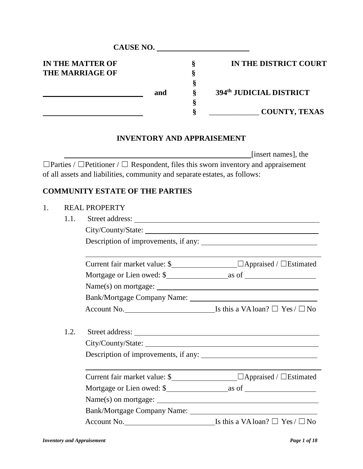|                                                   |      |                                                                            | CAUSE NO.      |                       |                                                                                                                            |
|---------------------------------------------------|------|----------------------------------------------------------------------------|----------------|-----------------------|----------------------------------------------------------------------------------------------------------------------------|
| <b>IN THE MATTER OF</b><br><b>THE MARRIAGE OF</b> |      |                                                                            | $\S$<br>§<br>§ | IN THE DISTRICT COURT |                                                                                                                            |
|                                                   |      |                                                                            | and            | §                     | 394th JUDICIAL DISTRICT                                                                                                    |
|                                                   |      |                                                                            |                | §<br>§                | <b>COUNTY, TEXAS</b>                                                                                                       |
|                                                   |      |                                                                            |                |                       | <b>INVENTORY AND APPRAISEMENT</b>                                                                                          |
|                                                   |      | of all assets and liabilities, community and separate estates, as follows: |                |                       | [insert names], the<br>$\Box$ Parties / $\Box$ Petitioner / $\Box$ Respondent, files this sworn inventory and appraisement |
|                                                   |      | <b>COMMUNITY ESTATE OF THE PARTIES</b>                                     |                |                       |                                                                                                                            |
| 1.                                                |      | <b>REAL PROPERTY</b>                                                       |                |                       |                                                                                                                            |
|                                                   | 1.1. |                                                                            |                |                       |                                                                                                                            |
|                                                   |      |                                                                            |                |                       |                                                                                                                            |
|                                                   |      |                                                                            |                |                       |                                                                                                                            |
|                                                   |      |                                                                            |                |                       |                                                                                                                            |
|                                                   |      |                                                                            |                |                       |                                                                                                                            |
|                                                   |      |                                                                            |                |                       |                                                                                                                            |
|                                                   |      |                                                                            |                |                       |                                                                                                                            |
|                                                   |      |                                                                            |                |                       |                                                                                                                            |
|                                                   | 1.2. |                                                                            |                |                       |                                                                                                                            |
|                                                   |      |                                                                            |                |                       |                                                                                                                            |
|                                                   |      |                                                                            |                |                       |                                                                                                                            |
|                                                   |      |                                                                            |                |                       |                                                                                                                            |
|                                                   |      |                                                                            |                |                       |                                                                                                                            |
|                                                   |      |                                                                            |                |                       |                                                                                                                            |
|                                                   |      |                                                                            |                |                       |                                                                                                                            |
|                                                   |      | Account No.                                                                |                |                       | Is this a VA loan? $\Box$ Yes / $\Box$ No                                                                                  |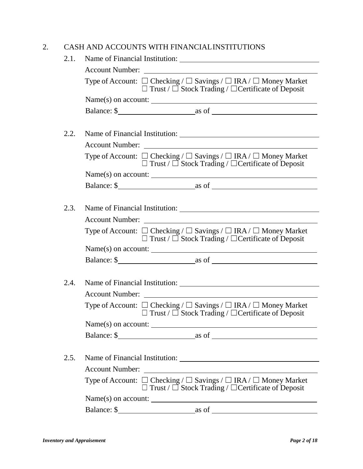### 2. CASH AND ACCOUNTS WITH FINANCIALINSTITUTIONS

| 2.1. | Name of Financial Institution:                                                                                                                              |  |  |  |
|------|-------------------------------------------------------------------------------------------------------------------------------------------------------------|--|--|--|
|      | Account Number:                                                                                                                                             |  |  |  |
|      | Type of Account: $\Box$ Checking / $\Box$ Savings / $\Box$ IRA / $\Box$ Money Market<br>$\Box$ Trust / $\Box$ Stock Trading / $\Box$ Certificate of Deposit |  |  |  |
|      |                                                                                                                                                             |  |  |  |
|      |                                                                                                                                                             |  |  |  |
|      |                                                                                                                                                             |  |  |  |
| 2.2. |                                                                                                                                                             |  |  |  |
|      |                                                                                                                                                             |  |  |  |
|      | Type of Account: $\Box$ Checking / $\Box$ Savings / $\Box$ IRA / $\Box$ Money Market<br>$\Box$ Trust / $\Box$ Stock Trading / $\Box$ Certificate of Deposit |  |  |  |
|      | $Name(s) on account: ____________$                                                                                                                          |  |  |  |
|      |                                                                                                                                                             |  |  |  |
|      |                                                                                                                                                             |  |  |  |
| 2.3. |                                                                                                                                                             |  |  |  |
|      |                                                                                                                                                             |  |  |  |
|      | Type of Account: $\Box$ Checking / $\Box$ Savings / $\Box$ IRA / $\Box$ Money Market<br>$\Box$ Trust / $\Box$ Stock Trading / $\Box$ Certificate of Deposit |  |  |  |
|      | $Name(s)$ on account:                                                                                                                                       |  |  |  |
|      |                                                                                                                                                             |  |  |  |
|      |                                                                                                                                                             |  |  |  |
| 2.4. | Name of Financial Institution: Name of Financial Institution:                                                                                               |  |  |  |
|      | Account Number:                                                                                                                                             |  |  |  |
|      | Type of Account: $\Box$ Checking / $\Box$ Savings / $\Box$ IRA / $\Box$ Money Market<br>$\Box$ Trust / $\Box$ Stock Trading / $\Box$ Certificate of Deposit |  |  |  |
|      | $Name(s)$ on account:                                                                                                                                       |  |  |  |
|      | Balance: \$                                                                                                                                                 |  |  |  |
|      |                                                                                                                                                             |  |  |  |
| 2.5. |                                                                                                                                                             |  |  |  |
|      | <b>Account Number:</b>                                                                                                                                      |  |  |  |
|      | Type of Account: $\Box$ Checking / $\Box$ Savings / $\Box$ IRA / $\Box$ Money Market<br>$\Box$ Trust / $\Box$ Stock Trading / $\Box$ Certificate of Deposit |  |  |  |
|      | $Name(s) on account: ____________$                                                                                                                          |  |  |  |
|      |                                                                                                                                                             |  |  |  |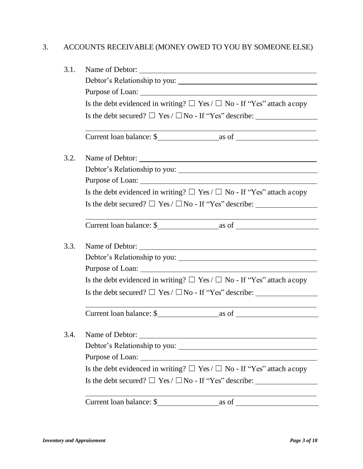# 3. ACCOUNTS RECEIVABLE (MONEY OWED TO YOU BY SOMEONE ELSE)

| Debtor's Relationship to you:                                                                                                            |  |  |  |  |  |
|------------------------------------------------------------------------------------------------------------------------------------------|--|--|--|--|--|
|                                                                                                                                          |  |  |  |  |  |
| Is the debt evidenced in writing? $\Box$ Yes / $\Box$ No - If "Yes" attach a copy                                                        |  |  |  |  |  |
| Is the debt secured? $\Box$ Yes / $\Box$ No - If "Yes" describe:                                                                         |  |  |  |  |  |
|                                                                                                                                          |  |  |  |  |  |
|                                                                                                                                          |  |  |  |  |  |
|                                                                                                                                          |  |  |  |  |  |
|                                                                                                                                          |  |  |  |  |  |
| Is the debt evidenced in writing? $\Box$ Yes / $\Box$ No - If "Yes" attach a copy                                                        |  |  |  |  |  |
| Is the debt secured? $\Box$ Yes / $\Box$ No - If "Yes" describe:                                                                         |  |  |  |  |  |
|                                                                                                                                          |  |  |  |  |  |
|                                                                                                                                          |  |  |  |  |  |
| Debtor's Relationship to you:                                                                                                            |  |  |  |  |  |
|                                                                                                                                          |  |  |  |  |  |
| Is the debt evidenced in writing? $\Box$ Yes / $\Box$ No - If "Yes" attach a copy                                                        |  |  |  |  |  |
| Is the debt secured? $\Box$ Yes / $\Box$ No - If "Yes" describe:                                                                         |  |  |  |  |  |
|                                                                                                                                          |  |  |  |  |  |
| Name of Debtor:<br><u> 1989 - Johann Stoff, deutscher Stoffen und der Stoffen und der Stoffen und der Stoffen und der Stoffen und de</u> |  |  |  |  |  |
|                                                                                                                                          |  |  |  |  |  |
|                                                                                                                                          |  |  |  |  |  |
| Is the debt evidenced in writing? $\Box$ Yes / $\Box$ No - If "Yes" attach a copy                                                        |  |  |  |  |  |
| Is the debt secured? $\Box$ Yes / $\Box$ No - If "Yes" describe:                                                                         |  |  |  |  |  |
| Current loan balance: \$                                                                                                                 |  |  |  |  |  |
|                                                                                                                                          |  |  |  |  |  |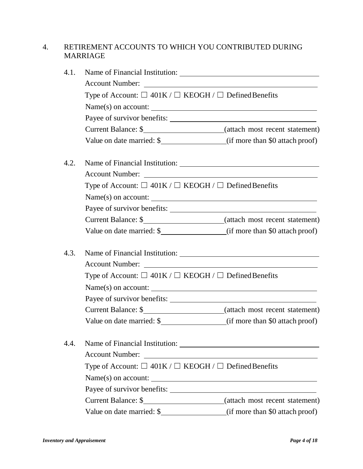#### 4. RETIREMENT ACCOUNTS TO WHICH YOU CONTRIBUTED DURING MARRIAGE

| 4.1. |                                                                       |                                                                            |  |  |  |
|------|-----------------------------------------------------------------------|----------------------------------------------------------------------------|--|--|--|
|      |                                                                       |                                                                            |  |  |  |
|      | Type of Account: $\Box$ 401K / $\Box$ KEOGH / $\Box$ Defined Benefits |                                                                            |  |  |  |
|      |                                                                       | $Name(s)$ on account: $\_\_$                                               |  |  |  |
|      |                                                                       |                                                                            |  |  |  |
|      |                                                                       | Current Balance: \$_________________________(attach most recent statement) |  |  |  |
|      |                                                                       | Value on date married: \$ (if more than \$0 attach proof)                  |  |  |  |
| 4.2. |                                                                       |                                                                            |  |  |  |
|      |                                                                       |                                                                            |  |  |  |
|      | Type of Account: $\Box$ 401K / $\Box$ KEOGH / $\Box$ Defined Benefits |                                                                            |  |  |  |
|      |                                                                       |                                                                            |  |  |  |
|      |                                                                       |                                                                            |  |  |  |
|      |                                                                       |                                                                            |  |  |  |
|      |                                                                       |                                                                            |  |  |  |
| 4.3. |                                                                       |                                                                            |  |  |  |
|      | <b>Account Number:</b>                                                | <u> 1980 - Johann Stein, fransk politik (d. 1980)</u>                      |  |  |  |
|      | Type of Account: $\Box$ 401K / $\Box$ KEOGH / $\Box$ Defined Benefits |                                                                            |  |  |  |
|      | $Name(s) on account: \_$                                              |                                                                            |  |  |  |
|      |                                                                       |                                                                            |  |  |  |
|      |                                                                       |                                                                            |  |  |  |
|      |                                                                       |                                                                            |  |  |  |
| 4.4. |                                                                       |                                                                            |  |  |  |
|      |                                                                       |                                                                            |  |  |  |
|      | Type of Account: $\Box$ 401K / $\Box$ KEOGH / $\Box$ Defined Benefits |                                                                            |  |  |  |
|      | Name(s) on account:                                                   |                                                                            |  |  |  |
|      |                                                                       |                                                                            |  |  |  |
|      |                                                                       |                                                                            |  |  |  |
|      |                                                                       |                                                                            |  |  |  |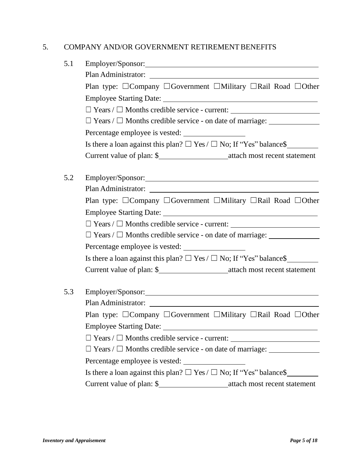#### 5. COMPANY AND/OR GOVERNMENT RETIREMENT BENEFITS

| 5.1 |                                                                                           |  |  |  |  |
|-----|-------------------------------------------------------------------------------------------|--|--|--|--|
|     |                                                                                           |  |  |  |  |
|     | Plan type: □Company □Government □Military □Rail Road □Other                               |  |  |  |  |
|     |                                                                                           |  |  |  |  |
|     | $\Box$ Years / $\Box$ Months credible service - current:                                  |  |  |  |  |
|     | $\Box$ Years / $\Box$ Months credible service - on date of marriage: $\Box$               |  |  |  |  |
|     |                                                                                           |  |  |  |  |
|     | Is there a loan against this plan? $\Box$ Yes / $\Box$ No; If "Yes" balance\$             |  |  |  |  |
|     |                                                                                           |  |  |  |  |
| 5.2 |                                                                                           |  |  |  |  |
|     |                                                                                           |  |  |  |  |
|     | Plan type: □Company □Government □Military □Rail Road □Other                               |  |  |  |  |
|     |                                                                                           |  |  |  |  |
|     |                                                                                           |  |  |  |  |
|     | $\Box$ Years / $\Box$ Months credible service - on date of marriage: $\Box$               |  |  |  |  |
|     |                                                                                           |  |  |  |  |
|     | Is there a loan against this plan? $\Box$ Yes / $\Box$ No; If "Yes" balance\$             |  |  |  |  |
|     |                                                                                           |  |  |  |  |
| 5.3 |                                                                                           |  |  |  |  |
|     |                                                                                           |  |  |  |  |
|     | Plan type: $\Box$ Company $\Box$ Government $\Box$ Military $\Box$ Rail Road $\Box$ Other |  |  |  |  |
|     | Employee Starting Date:<br><u> 1980 - Johann Barn, fransk politik fotograf (d. 1980)</u>  |  |  |  |  |
|     | $\Box$ Years / $\Box$ Months credible service - current: $\Box$                           |  |  |  |  |
|     | $\Box$ Years / $\Box$ Months credible service - on date of marriage:                      |  |  |  |  |
|     | Percentage employee is vested:                                                            |  |  |  |  |
|     | Is there a loan against this plan? $\Box$ Yes / $\Box$ No; If "Yes" balance\$             |  |  |  |  |
|     |                                                                                           |  |  |  |  |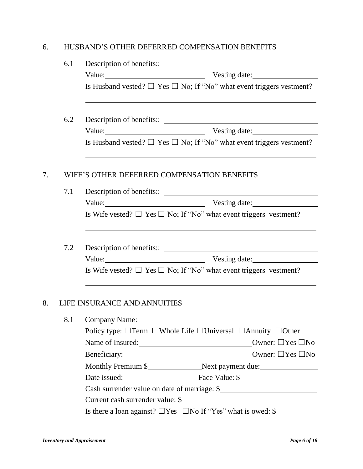#### 6. HUSBAND'S OTHER DEFERRED COMPENSATION BENEFITS

| 6.1 |                                                                                         |  |  |  |
|-----|-----------------------------------------------------------------------------------------|--|--|--|
|     | Value: Vesting date:                                                                    |  |  |  |
|     | Is Husband vested? $\Box$ Yes $\Box$ No; If "No" what event triggers vestment?          |  |  |  |
|     | 6.2                                                                                     |  |  |  |
|     | Value: Vesting date:                                                                    |  |  |  |
|     | Is Husband vested? $\Box$ Yes $\Box$ No; If "No" what event triggers vestment?          |  |  |  |
| 7.  | WIFE'S OTHER DEFERRED COMPENSATION BENEFITS                                             |  |  |  |
| 7.1 |                                                                                         |  |  |  |
|     | Value: Vesting date:                                                                    |  |  |  |
|     | Is Wife vested? $\Box$ Yes $\Box$ No; If "No" what event triggers vestment?             |  |  |  |
|     | 7.2                                                                                     |  |  |  |
|     | Value: Vesting date:                                                                    |  |  |  |
|     | Is Wife vested? $\Box$ Yes $\Box$ No; If "No" what event triggers vestment?             |  |  |  |
| 8.  | LIFE INSURANCE AND ANNUITIES                                                            |  |  |  |
|     | 8.1<br>Company Name:                                                                    |  |  |  |
|     | Policy type: $\Box$ Term $\Box$ Whole Life $\Box$ Universal $\Box$ Annuity $\Box$ Other |  |  |  |
|     | Name of Insured: <u>New York:</u> No Owner: □Yes □No                                    |  |  |  |
|     |                                                                                         |  |  |  |
|     |                                                                                         |  |  |  |
|     | Date issued: Face Value: \$                                                             |  |  |  |
|     | Cash surrender value on date of marriage: \$                                            |  |  |  |
|     |                                                                                         |  |  |  |
|     | Is there a loan against? $\Box$ Yes $\Box$ No If "Yes" what is owed: \$                 |  |  |  |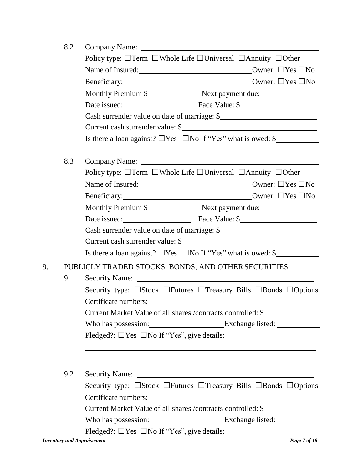|    | 8.2 |                                                                                                             |
|----|-----|-------------------------------------------------------------------------------------------------------------|
|    |     | Policy type: □Term □Whole Life □Universal □Annuity □Other                                                   |
|    |     | Name of Insured: <u>New York:</u> No Owner: □Yes □No                                                        |
|    |     |                                                                                                             |
|    |     |                                                                                                             |
|    |     | Date issued: Face Value: \$                                                                                 |
|    |     | Cash surrender value on date of marriage: \$                                                                |
|    |     | Current cash surrender value: \$                                                                            |
|    |     | Is there a loan against? $\Box$ Yes $\Box$ No If "Yes" what is owed: \$                                     |
|    | 8.3 |                                                                                                             |
|    |     | Policy type: □Term □Whole Life □Universal □Annuity □Other                                                   |
|    |     | Name of Insured: <u>New York:</u> No Owner: □Yes □No                                                        |
|    |     |                                                                                                             |
|    |     |                                                                                                             |
|    |     | Date issued: Face Value: \$                                                                                 |
|    |     | Cash surrender value on date of marriage: \$                                                                |
|    |     | Current cash surrender value: \$                                                                            |
|    |     | Is there a loan against? $\Box$ Yes $\Box$ No If "Yes" what is owed: \$                                     |
| 9. |     | PUBLICLY TRADED STOCKS, BONDS, AND OTHER SECURITIES                                                         |
|    | 9.  |                                                                                                             |
|    |     | Security type: □Stock □Futures □Treasury Bills □Bonds □Options                                              |
|    |     | Current Market Value of all shares /contracts controlled: \$                                                |
|    |     |                                                                                                             |
|    |     | $Pledged?: \Box Yes \Box No If "Yes", give details: \_\_$                                                   |
|    |     | ,我们也不能在这里的时候,我们也不能在这里的时候,我们也不能会在这里的时候,我们也不能会在这里的时候,我们也不能会在这里的时候,我们也不能会在这里的时候,我们也                            |
|    |     |                                                                                                             |
|    | 9.2 |                                                                                                             |
|    |     | Security type: $\square$ Stock $\square$ Futures $\square$ Treasury Bills $\square$ Bonds $\square$ Options |
|    |     |                                                                                                             |
|    |     | Current Market Value of all shares /contracts controlled: \$                                                |
|    |     |                                                                                                             |
|    |     | $Pledged?: \Box Yes \Box No If "Yes", give details: \_\_$                                                   |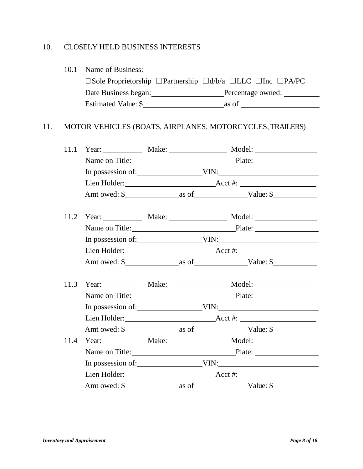## 10. CLOSELY HELD BUSINESS INTERESTS

|      |  |  | $\square$ Sole Proprietorship $\square$ Partnership $\square d/b/a$ $\square$ LLC $\square$ Inc $\square$ PA/PC |  |
|------|--|--|-----------------------------------------------------------------------------------------------------------------|--|
|      |  |  |                                                                                                                 |  |
|      |  |  |                                                                                                                 |  |
|      |  |  | MOTOR VEHICLES (BOATS, AIRPLANES, MOTORCYCLES, TRAILERS)                                                        |  |
| 11.1 |  |  |                                                                                                                 |  |
|      |  |  | Name on Title: Plate: Plate:                                                                                    |  |
|      |  |  |                                                                                                                 |  |
|      |  |  |                                                                                                                 |  |
|      |  |  |                                                                                                                 |  |
|      |  |  | 11.2 Year: Make: Make: Model: Model:                                                                            |  |
|      |  |  | Name on Title: Plate: Plate:                                                                                    |  |
|      |  |  |                                                                                                                 |  |
|      |  |  |                                                                                                                 |  |
|      |  |  |                                                                                                                 |  |
|      |  |  | 11.3 Year: Make: Make: Model: Model:                                                                            |  |
|      |  |  | Name on Title: Plate: Plate:                                                                                    |  |
|      |  |  |                                                                                                                 |  |
|      |  |  |                                                                                                                 |  |
|      |  |  |                                                                                                                 |  |
| 11.4 |  |  |                                                                                                                 |  |
|      |  |  | Name on Title: Plate: Plate:                                                                                    |  |
|      |  |  |                                                                                                                 |  |
|      |  |  |                                                                                                                 |  |
|      |  |  |                                                                                                                 |  |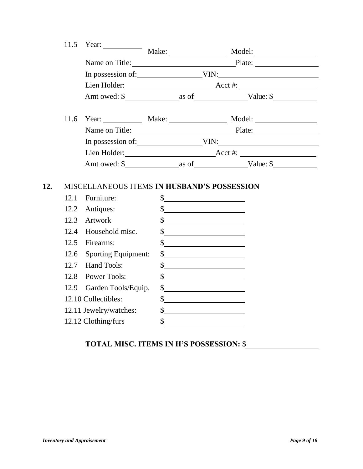| 11.5 | Year: $\_\_$                                  |              |                                                                                                                                                                                                                                                                                                                                                                                                                                 |                                 |  |
|------|-----------------------------------------------|--------------|---------------------------------------------------------------------------------------------------------------------------------------------------------------------------------------------------------------------------------------------------------------------------------------------------------------------------------------------------------------------------------------------------------------------------------|---------------------------------|--|
|      |                                               |              |                                                                                                                                                                                                                                                                                                                                                                                                                                 | Name on Title: Plate: Plate:    |  |
|      |                                               |              |                                                                                                                                                                                                                                                                                                                                                                                                                                 |                                 |  |
|      |                                               |              |                                                                                                                                                                                                                                                                                                                                                                                                                                 |                                 |  |
|      |                                               |              |                                                                                                                                                                                                                                                                                                                                                                                                                                 |                                 |  |
| 11.6 |                                               |              |                                                                                                                                                                                                                                                                                                                                                                                                                                 | Year: Make: Make: Model: Model: |  |
|      |                                               |              |                                                                                                                                                                                                                                                                                                                                                                                                                                 | Name on Title: Plate: Plate:    |  |
|      |                                               |              |                                                                                                                                                                                                                                                                                                                                                                                                                                 | In possession of: VIN: VIN:     |  |
|      |                                               |              |                                                                                                                                                                                                                                                                                                                                                                                                                                 |                                 |  |
|      |                                               |              |                                                                                                                                                                                                                                                                                                                                                                                                                                 |                                 |  |
| 12.1 | Furniture:                                    |              | $\frac{\text{S}}{\text{S}}$                                                                                                                                                                                                                                                                                                                                                                                                     |                                 |  |
| 12.2 | Antiques:                                     |              |                                                                                                                                                                                                                                                                                                                                                                                                                                 |                                 |  |
|      |                                               |              | $\frac{1}{2}$                                                                                                                                                                                                                                                                                                                                                                                                                   |                                 |  |
|      | 12.3 Artwork                                  |              | $\frac{1}{2}$ $\frac{1}{2}$ $\frac{1}{2}$ $\frac{1}{2}$ $\frac{1}{2}$ $\frac{1}{2}$ $\frac{1}{2}$ $\frac{1}{2}$ $\frac{1}{2}$ $\frac{1}{2}$ $\frac{1}{2}$ $\frac{1}{2}$ $\frac{1}{2}$ $\frac{1}{2}$ $\frac{1}{2}$ $\frac{1}{2}$ $\frac{1}{2}$ $\frac{1}{2}$ $\frac{1}{2}$ $\frac{1}{2}$ $\frac{1}{2}$ $\frac{1}{2}$                                                                                                             |                                 |  |
|      | 12.4 Household misc.                          |              | $\frac{\text{S}}{\text{S}}$                                                                                                                                                                                                                                                                                                                                                                                                     |                                 |  |
|      | 12.5 Firearms:                                |              | $\sim$                                                                                                                                                                                                                                                                                                                                                                                                                          |                                 |  |
| 12.6 | <b>Sporting Equipment:</b>                    |              | $\frac{1}{\sqrt{1-\frac{1}{2}}}\frac{1}{\sqrt{1-\frac{1}{2}}}\frac{1}{\sqrt{1-\frac{1}{2}}}\frac{1}{\sqrt{1-\frac{1}{2}}}\frac{1}{\sqrt{1-\frac{1}{2}}}\frac{1}{\sqrt{1-\frac{1}{2}}}\frac{1}{\sqrt{1-\frac{1}{2}}}\frac{1}{\sqrt{1-\frac{1}{2}}}\frac{1}{\sqrt{1-\frac{1}{2}}}\frac{1}{\sqrt{1-\frac{1}{2}}}\frac{1}{\sqrt{1-\frac{1}{2}}}\frac{1}{\sqrt{1-\frac{1}{2}}}\frac{1}{\sqrt{1-\frac{1}{2}}}\frac{1}{\sqrt{1-\frac{$ |                                 |  |
|      | 12.7 Hand Tools:                              |              | $\frac{1}{2}$                                                                                                                                                                                                                                                                                                                                                                                                                   |                                 |  |
|      | 12.8 Power Tools:                             |              | $\frac{1}{2}$                                                                                                                                                                                                                                                                                                                                                                                                                   |                                 |  |
|      | 12.9 Garden Tools/Equip.                      |              | $\sim$                                                                                                                                                                                                                                                                                                                                                                                                                          |                                 |  |
|      | 12.10 Collectibles:                           |              | $\frac{1}{2}$                                                                                                                                                                                                                                                                                                                                                                                                                   |                                 |  |
|      | 12.11 Jewelry/watches:<br>12.12 Clothing/furs | $\mathbb{S}$ | $\frac{1}{2}$                                                                                                                                                                                                                                                                                                                                                                                                                   |                                 |  |

# **TOTAL MISC. ITEMS IN H'S POSSESSION:** \$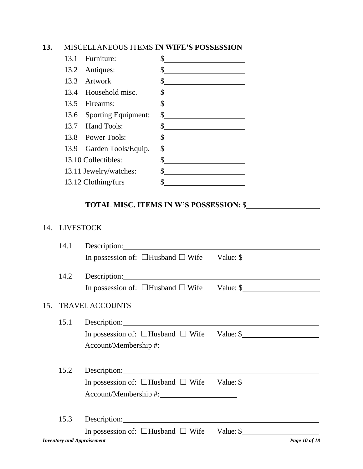#### **13.** MISCELLANEOUS ITEMS **IN WIFE'S POSSESSION**

| 13.1 Furniture:          | \$                                                                                                                                                                                                                                                                                                                                                                                                                              |
|--------------------------|---------------------------------------------------------------------------------------------------------------------------------------------------------------------------------------------------------------------------------------------------------------------------------------------------------------------------------------------------------------------------------------------------------------------------------|
| 13.2 Antiques:           | $\frac{1}{2}$                                                                                                                                                                                                                                                                                                                                                                                                                   |
| 13.3 Artwork             |                                                                                                                                                                                                                                                                                                                                                                                                                                 |
| 13.4 Household misc.     | $\frac{\text{S}}{\text{S}}$                                                                                                                                                                                                                                                                                                                                                                                                     |
| 13.5 Firearms:           | $\sim$                                                                                                                                                                                                                                                                                                                                                                                                                          |
| 13.6 Sporting Equipment: | $\frac{1}{2}$                                                                                                                                                                                                                                                                                                                                                                                                                   |
| 13.7 Hand Tools:         | $\int$                                                                                                                                                                                                                                                                                                                                                                                                                          |
| 13.8 Power Tools:        | $\frac{1}{\sqrt{1-\frac{1}{2}}}\frac{1}{\sqrt{1-\frac{1}{2}}}\frac{1}{\sqrt{1-\frac{1}{2}}}\frac{1}{\sqrt{1-\frac{1}{2}}}\frac{1}{\sqrt{1-\frac{1}{2}}}\frac{1}{\sqrt{1-\frac{1}{2}}}\frac{1}{\sqrt{1-\frac{1}{2}}}\frac{1}{\sqrt{1-\frac{1}{2}}}\frac{1}{\sqrt{1-\frac{1}{2}}}\frac{1}{\sqrt{1-\frac{1}{2}}}\frac{1}{\sqrt{1-\frac{1}{2}}}\frac{1}{\sqrt{1-\frac{1}{2}}}\frac{1}{\sqrt{1-\frac{1}{2}}}\frac{1}{\sqrt{1-\frac{$ |
| 13.9 Garden Tools/Equip. | $\sim$                                                                                                                                                                                                                                                                                                                                                                                                                          |
| 13.10 Collectibles:      | \$<br><u> 1989 - Johann Stone, mars and de Brasilia (b. 1989)</u>                                                                                                                                                                                                                                                                                                                                                               |
| 13.11 Jewelry/watches:   | $\sim$                                                                                                                                                                                                                                                                                                                                                                                                                          |
| 13.12 Clothing/furs      |                                                                                                                                                                                                                                                                                                                                                                                                                                 |

## **TOTAL MISC. ITEMS IN W'S POSSESSION:** \$

#### 14. LIVESTOCK

|     | 14.1 |                                                                                                                                                                                                                                      |               |
|-----|------|--------------------------------------------------------------------------------------------------------------------------------------------------------------------------------------------------------------------------------------|---------------|
|     |      | In possession of: $\Box$ Husband $\Box$ Wife Value: \$                                                                                                                                                                               |               |
|     | 14.2 |                                                                                                                                                                                                                                      |               |
|     |      | In possession of: $\Box$ Husband $\Box$ Wife Value: \$                                                                                                                                                                               |               |
| 15. |      | <b>TRAVEL ACCOUNTS</b>                                                                                                                                                                                                               |               |
|     | 15.1 |                                                                                                                                                                                                                                      |               |
|     |      | In possession of: $\Box$ Husband $\Box$ Wife Value: \$                                                                                                                                                                               |               |
|     |      |                                                                                                                                                                                                                                      |               |
|     | 15.2 | Description: <u>contract and contract and contract and contract and contract and contract and contract and contract and contract and contract and contract and contract and contract and contract and contract and contract and </u> |               |
|     |      | In possession of: $\Box$ Husband $\Box$ Wife Value: \$                                                                                                                                                                               |               |
|     |      |                                                                                                                                                                                                                                      |               |
|     | 15.3 | Description:                                                                                                                                                                                                                         |               |
|     |      | In possession of: $\Box$ Husband $\Box$ Wife Value: \$                                                                                                                                                                               |               |
|     |      | <b>Inventory and Appraisement</b>                                                                                                                                                                                                    | Page 10 of 18 |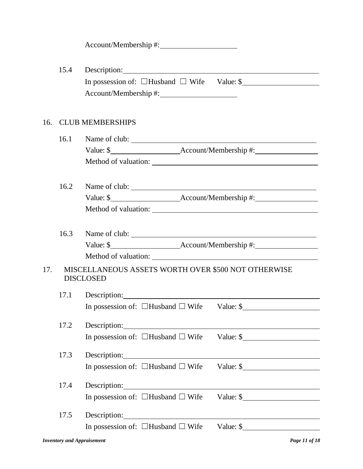| Account/Membership #: |  |
|-----------------------|--|
|-----------------------|--|

|     | 15.4 | Description: New York 1988                                                                                                                                                                                                     |
|-----|------|--------------------------------------------------------------------------------------------------------------------------------------------------------------------------------------------------------------------------------|
|     |      | In possession of: $\Box$ Husband $\Box$ Wife Value: \$                                                                                                                                                                         |
|     |      |                                                                                                                                                                                                                                |
|     |      |                                                                                                                                                                                                                                |
| 16. |      | <b>CLUB MEMBERSHIPS</b>                                                                                                                                                                                                        |
|     | 16.1 |                                                                                                                                                                                                                                |
|     |      |                                                                                                                                                                                                                                |
|     |      |                                                                                                                                                                                                                                |
|     | 16.2 | Name of club:                                                                                                                                                                                                                  |
|     |      |                                                                                                                                                                                                                                |
|     |      |                                                                                                                                                                                                                                |
|     |      |                                                                                                                                                                                                                                |
|     |      | 16.3 Name of club: 16.3 Name of club:                                                                                                                                                                                          |
|     |      |                                                                                                                                                                                                                                |
|     |      |                                                                                                                                                                                                                                |
| 17. |      | MISCELLANEOUS ASSETS WORTH OVER \$500 NOT OTHERWISE<br><b>DISCLOSED</b>                                                                                                                                                        |
|     | 17.1 |                                                                                                                                                                                                                                |
|     |      | In possession of: $\Box$ Husband $\Box$ Wife Value: \$                                                                                                                                                                         |
|     | 17.2 |                                                                                                                                                                                                                                |
|     |      | In possession of: $\Box$ Husband $\Box$ Wife Value: \$                                                                                                                                                                         |
|     | 17.3 | Description: New York Changes and Changes and Changes and Changes and Changes and Changes and Changes and Changes and Changes and Changes and Changes and Changes and Changes and Changes and Changes and Changes and Changes  |
|     |      |                                                                                                                                                                                                                                |
|     | 17.4 | Description: New York Changes and Security and Security and Security and Security and Security and Security and Security and Security and Security and Security and Security and Security and Security and Security and Securi |
|     |      | In possession of: $\Box$ Husband $\Box$ Wife<br>Value: $\frac{\sqrt{2}}{2}$                                                                                                                                                    |
|     | 17.5 | Description:                                                                                                                                                                                                                   |
|     |      | Value: $\frac{1}{2}$<br>In possession of: $\Box$ Husband $\Box$ Wife                                                                                                                                                           |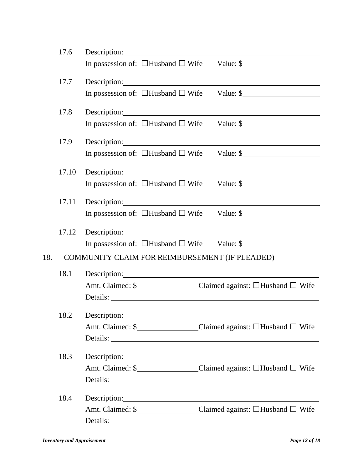|     | 17.6  | Description:                                                                                                                                                                                                                                                                                       |
|-----|-------|----------------------------------------------------------------------------------------------------------------------------------------------------------------------------------------------------------------------------------------------------------------------------------------------------|
|     |       | In possession of: $\Box$ Husband $\Box$ Wife Value: \$                                                                                                                                                                                                                                             |
|     | 17.7  |                                                                                                                                                                                                                                                                                                    |
|     |       | Description: New York Changes and Changes and Changes and Changes and Changes and Changes and Changes and Changes and Changes and Changes and Changes and Changes and Changes and Changes and Changes and Changes and Changes<br>In possession of: $\Box$ Husband $\Box$ Wife Value: \$            |
|     |       |                                                                                                                                                                                                                                                                                                    |
|     | 17.8  | Description: Network of the Contract of the Contract of the Contract of the Contract of the Contract of the Contract of the Contract of the Contract of the Contract of the Contract of the Contract of the Contract of the Co                                                                     |
|     |       | In possession of: $\Box$ Husband $\Box$ Wife Value: \$                                                                                                                                                                                                                                             |
|     | 17.9  | Description: New York Changes and Changes and Changes and Changes and Changes and Changes and Changes and Changes and Changes and Changes and Changes and Changes and Changes and Changes and Changes and Changes and Changes                                                                      |
|     |       | In possession of: $\Box$ Husband $\Box$ Wife Value: \$                                                                                                                                                                                                                                             |
|     |       |                                                                                                                                                                                                                                                                                                    |
|     | 17.10 | Description: New York Changes and Changes and Changes and Changes and Changes and Changes and Changes and Changes and Changes and Changes and Changes and Changes and Changes and Changes and Changes and Changes and Changes                                                                      |
|     |       | In possession of: $\Box$ Husband $\Box$ Wife Value: \$                                                                                                                                                                                                                                             |
|     | 17.11 | Description: Note and the set of the set of the set of the set of the set of the set of the set of the set of the set of the set of the set of the set of the set of the set of the set of the set of the set of the set of th                                                                     |
|     |       | In possession of: $\Box$ Husband $\Box$ Wife Value: \$                                                                                                                                                                                                                                             |
|     | 17.12 | Description: <u>contract and contract and contract and contract and contract and contract and contract and contract and contract and contract and contract and contract and contract and contract and contract and contract and </u>                                                               |
|     |       | In possession of: $\Box$ Husband $\Box$ Wife Value: \$                                                                                                                                                                                                                                             |
| 18. |       | COMMUNITY CLAIM FOR REIMBURSEMENT (IF PLEADED)                                                                                                                                                                                                                                                     |
|     |       |                                                                                                                                                                                                                                                                                                    |
|     | 18.1  | Description: <u>contract and contract and contract and contract and contract and contract and contract and contract and contract and contract and contract and contract and contract and contract and contract and contract and </u>                                                               |
|     |       | Amt. Claimed: \$___________________Claimed against: □Husband □ Wife                                                                                                                                                                                                                                |
|     |       | Details:                                                                                                                                                                                                                                                                                           |
|     | 18.2  | Description:<br><u> 1989 - Johann Barn, mars ann an t-Amhain Aonaich an t-Aonaich an t-Aonaich an t-Aonaich an t-Aonaich an t-Aon</u>                                                                                                                                                              |
|     |       | Amt. Claimed: \$_______________Claimed against: □Husband □ Wife                                                                                                                                                                                                                                    |
|     |       |                                                                                                                                                                                                                                                                                                    |
|     | 18.3  | Description: Next and Solid Contract to the Contract of the Contract of the Contract of the Contract of the Contract of the Contract of the Contract of the Contract of the Contract of the Contract of the Contract of the Co                                                                     |
|     |       | Amt. Claimed: \$__________________Claimed against: □Husband □ Wife                                                                                                                                                                                                                                 |
|     |       |                                                                                                                                                                                                                                                                                                    |
|     |       |                                                                                                                                                                                                                                                                                                    |
|     | 18.4  | Description: New York Changes and Security and Security and Security and Security and Security and Security and Security and Security and Security and Security and Security and Security and Security and Security and Securi<br>Amt. Claimed: \$________________Claimed against: □Husband □ Wife |
|     |       | Details:                                                                                                                                                                                                                                                                                           |
|     |       |                                                                                                                                                                                                                                                                                                    |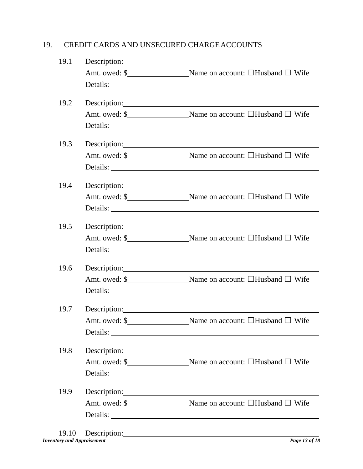#### 19. CREDIT CARDS AND UNSECURED CHARGEACCOUNTS

| 19.1 |                    |                                                                                                                                                                                                                                |
|------|--------------------|--------------------------------------------------------------------------------------------------------------------------------------------------------------------------------------------------------------------------------|
|      |                    | Amt. owed: \$_______________________Name on account: □Husband □ Wife                                                                                                                                                           |
|      |                    |                                                                                                                                                                                                                                |
| 19.2 |                    | Description:                                                                                                                                                                                                                   |
|      |                    | Amt. owed: \$_______________________Name on account: □Husband □ Wife                                                                                                                                                           |
|      |                    | Details:                                                                                                                                                                                                                       |
| 19.3 |                    | Description:                                                                                                                                                                                                                   |
|      |                    | Amt. owed: \$______________________Name on account: □Husband □ Wife                                                                                                                                                            |
|      |                    | Details:                                                                                                                                                                                                                       |
| 19.4 |                    | Description:                                                                                                                                                                                                                   |
|      |                    | Amt. owed: \$ Name on account: □Husband □ Wife                                                                                                                                                                                 |
|      |                    |                                                                                                                                                                                                                                |
| 19.5 |                    | Description: Note and the set of the set of the set of the set of the set of the set of the set of the set of the set of the set of the set of the set of the set of the set of the set of the set of the set of the set of th |
|      |                    | Amt. owed: \$_______________________Name on account: □Husband □ Wife                                                                                                                                                           |
|      |                    |                                                                                                                                                                                                                                |
| 19.6 |                    | Description: New York Changes and Changes and Changes and Changes and Changes and Changes and Changes and Changes and Changes and Changes and Changes and Changes and Changes and Changes and Changes and Changes and Changes  |
|      |                    | Amt. owed: \$________________________Name on account: □Husband □ Wife                                                                                                                                                          |
|      |                    |                                                                                                                                                                                                                                |
|      |                    | 19.7 Description:                                                                                                                                                                                                              |
|      |                    | Amt. owed: \$________________________Name on account: □Husband □ Wife                                                                                                                                                          |
|      |                    | Details:                                                                                                                                                                                                                       |
| 19.8 |                    | Description: New York 1988                                                                                                                                                                                                     |
|      |                    | Amt. owed: \$_______________________Name on account: □Husband □ Wife                                                                                                                                                           |
|      |                    |                                                                                                                                                                                                                                |
| 19.9 |                    |                                                                                                                                                                                                                                |
|      |                    | Amt. owed: \$________________________Name on account: □Husband □ Wife                                                                                                                                                          |
|      |                    |                                                                                                                                                                                                                                |
|      | 10.10 Description: |                                                                                                                                                                                                                                |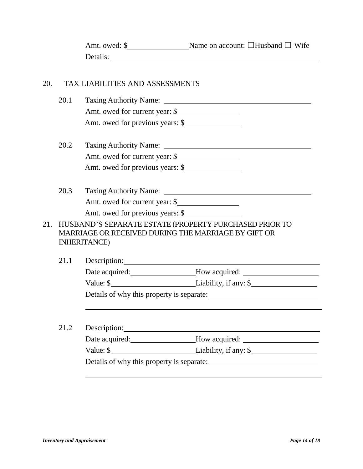| Amt. owed: \$ | Name on account: $\Box$ Husband $\Box$ Wife |
|---------------|---------------------------------------------|
| Details:      |                                             |

#### 20. TAX LIABILITIES AND ASSESSMENTS

|     | 20.1 |                                  | Taxing Authority Name: 1996. The Contract of the Contract of Taxing Authority Name:                           |  |  |
|-----|------|----------------------------------|---------------------------------------------------------------------------------------------------------------|--|--|
|     |      | Amt. owed for current year: \$   |                                                                                                               |  |  |
|     |      | Amt. owed for previous years: \$ |                                                                                                               |  |  |
|     | 20.2 |                                  |                                                                                                               |  |  |
|     |      | Amt. owed for current year: \$   |                                                                                                               |  |  |
|     |      | Amt. owed for previous years: \$ |                                                                                                               |  |  |
|     | 20.3 |                                  |                                                                                                               |  |  |
|     |      | Amt. owed for current year: \$   |                                                                                                               |  |  |
|     |      | Amt. owed for previous years: \$ |                                                                                                               |  |  |
| 21. |      | <b>INHERITANCE</b> )             | HUSBAND'S SEPARATE ESTATE (PROPERTY PURCHASED PRIOR TO<br>MARRIAGE OR RECEIVED DURING THE MARRIAGE BY GIFT OR |  |  |
|     | 21.1 |                                  |                                                                                                               |  |  |
|     |      |                                  | Date acquired: _______________________How acquired: ____________________________                              |  |  |
|     |      |                                  |                                                                                                               |  |  |
|     |      |                                  |                                                                                                               |  |  |
|     |      |                                  |                                                                                                               |  |  |
|     | 21.2 |                                  | Description:                                                                                                  |  |  |
|     |      |                                  | Date acquired: ______________________How acquired: ______________________________                             |  |  |
|     |      |                                  |                                                                                                               |  |  |
|     |      |                                  |                                                                                                               |  |  |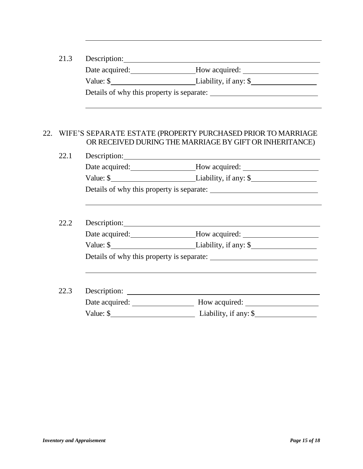| 21.3 | Description:                                                                                                                                                                                                                  |                                                                                   |  |  |  |
|------|-------------------------------------------------------------------------------------------------------------------------------------------------------------------------------------------------------------------------------|-----------------------------------------------------------------------------------|--|--|--|
|      |                                                                                                                                                                                                                               | Date acquired: ______________________How acquired: ______________________________ |  |  |  |
|      |                                                                                                                                                                                                                               |                                                                                   |  |  |  |
|      |                                                                                                                                                                                                                               |                                                                                   |  |  |  |
|      |                                                                                                                                                                                                                               |                                                                                   |  |  |  |
|      | 22. WIFE'S SEPARATE ESTATE (PROPERTY PURCHASED PRIOR TO MARRIAGE<br>OR RECEIVED DURING THE MARRIAGE BY GIFT OR INHERITANCE)                                                                                                   |                                                                                   |  |  |  |
| 22.1 |                                                                                                                                                                                                                               |                                                                                   |  |  |  |
|      |                                                                                                                                                                                                                               | Date acquired: _____________________How acquired: _______________________________ |  |  |  |
|      |                                                                                                                                                                                                                               |                                                                                   |  |  |  |
|      |                                                                                                                                                                                                                               |                                                                                   |  |  |  |
|      |                                                                                                                                                                                                                               |                                                                                   |  |  |  |
| 22.2 | Description: New York Changes and Changes and Changes and Changes and Changes and Changes and Changes and Changes and Changes and Changes and Changes and Changes and Changes and Changes and Changes and Changes and Changes |                                                                                   |  |  |  |
|      |                                                                                                                                                                                                                               | Date acquired: ______________________How acquired: _____________________________  |  |  |  |
|      |                                                                                                                                                                                                                               |                                                                                   |  |  |  |
|      |                                                                                                                                                                                                                               |                                                                                   |  |  |  |
|      |                                                                                                                                                                                                                               |                                                                                   |  |  |  |
| 22.3 |                                                                                                                                                                                                                               |                                                                                   |  |  |  |
|      |                                                                                                                                                                                                                               | Date acquired: Mow acquired: Mow acquired: Mow acquired:                          |  |  |  |
|      |                                                                                                                                                                                                                               |                                                                                   |  |  |  |
|      |                                                                                                                                                                                                                               |                                                                                   |  |  |  |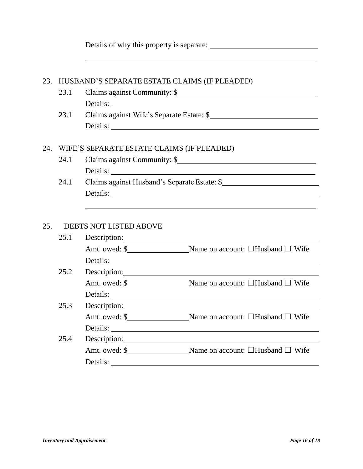|     |      |                                               | Details of why this property is separate:                                                                                                                                                                                            |
|-----|------|-----------------------------------------------|--------------------------------------------------------------------------------------------------------------------------------------------------------------------------------------------------------------------------------------|
| 23. |      | HUSBAND'S SEPARATE ESTATE CLAIMS (IF PLEADED) |                                                                                                                                                                                                                                      |
|     | 23.1 |                                               |                                                                                                                                                                                                                                      |
|     |      |                                               | Details:                                                                                                                                                                                                                             |
|     | 23.1 |                                               | Claims against Wife's Separate Estate: \$                                                                                                                                                                                            |
|     |      |                                               |                                                                                                                                                                                                                                      |
|     |      |                                               |                                                                                                                                                                                                                                      |
| 24. |      | WIFE'S SEPARATE ESTATE CLAIMS (IF PLEADED)    |                                                                                                                                                                                                                                      |
|     | 24.1 |                                               | Claims against Community: \$                                                                                                                                                                                                         |
|     |      |                                               |                                                                                                                                                                                                                                      |
|     | 24.1 |                                               | Claims against Husband's Separate Estate: \$                                                                                                                                                                                         |
|     |      |                                               |                                                                                                                                                                                                                                      |
|     |      |                                               |                                                                                                                                                                                                                                      |
|     |      |                                               |                                                                                                                                                                                                                                      |
| 25. |      | <b>DEBTS NOT LISTED ABOVE</b>                 |                                                                                                                                                                                                                                      |
|     | 25.1 |                                               | Description: <u>contract and contract and contract and contract and contract and contract and contract and contract and contract and contract and contract and contract and contract and contract and contract and contract and </u> |
|     |      |                                               | Amt. owed: \$________________________Name on account: □Husband □ Wife                                                                                                                                                                |
|     |      |                                               |                                                                                                                                                                                                                                      |
|     | 25.2 |                                               | Description: <u>contract and contract and contract and contract and contract and contract and contract and contract and contract and contract and contract and contract and contract and contract and contract and contract and </u> |
|     |      |                                               | Amt. owed: \$_________________________Name on account: □Husband □ Wife                                                                                                                                                               |
|     |      |                                               |                                                                                                                                                                                                                                      |
|     | 25.3 |                                               |                                                                                                                                                                                                                                      |
|     |      |                                               | Amt. owed: \$________________________Name on account: □Husband □ Wife                                                                                                                                                                |
|     |      | Details:                                      | <u> 1980 - Johann Stoff, fransk politik (d. 1980)</u>                                                                                                                                                                                |
|     | 25.4 | Description:                                  |                                                                                                                                                                                                                                      |
|     |      |                                               | Amt. owed: \$______________________Name on account: □Husband □ Wife                                                                                                                                                                  |
|     |      | Details:                                      | <u> 1980 - Johann Barbara, martxa amerikan personal (h. 1980).</u>                                                                                                                                                                   |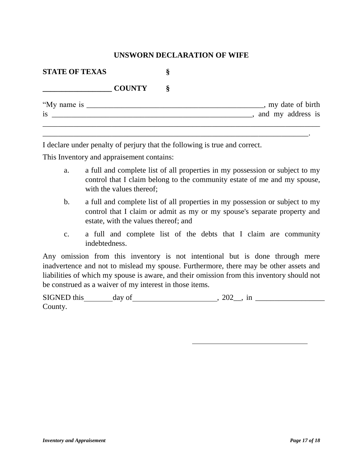#### **UNSWORN DECLARATION OF WIFE**

| <b>STATE OF TEXAS</b> |    |                                         |
|-----------------------|----|-----------------------------------------|
| <b>COUNTY</b>         | Ö. |                                         |
| "My name is<br>is     |    | , my date of birth<br>and my address is |

\_\_\_\_\_\_\_\_\_\_\_\_\_\_\_\_\_\_\_\_\_\_\_\_\_\_\_\_\_\_\_\_\_\_\_\_\_\_\_\_\_\_\_\_\_\_\_\_\_\_\_\_\_\_\_\_\_\_\_\_\_\_\_\_\_\_\_\_\_.

I declare under penalty of perjury that the following is true and correct.

This Inventory and appraisement contains:

- a. a full and complete list of all properties in my possession or subject to my control that I claim belong to the community estate of me and my spouse, with the values thereof;
- b. a full and complete list of all properties in my possession or subject to my control that I claim or admit as my or my spouse's separate property and estate, with the values thereof; and
- c. a full and complete list of the debts that I claim are community indebtedness.

Any omission from this inventory is not intentional but is done through mere inadvertence and not to mislead my spouse. Furthermore, there may be other assets and liabilities of which my spouse is aware, and their omission from this inventory should not be construed as a waiver of my interest in those items.

| <b>SIGNED</b><br>$+1.10$<br>ulls<br>பய | $- - -$<br>ua,<br>vι | $\Omega$<br>11<br>ш<br>$\sim$ |
|----------------------------------------|----------------------|-------------------------------|
| $\sim$<br>$\mathcal{L}$ ounty          |                      |                               |